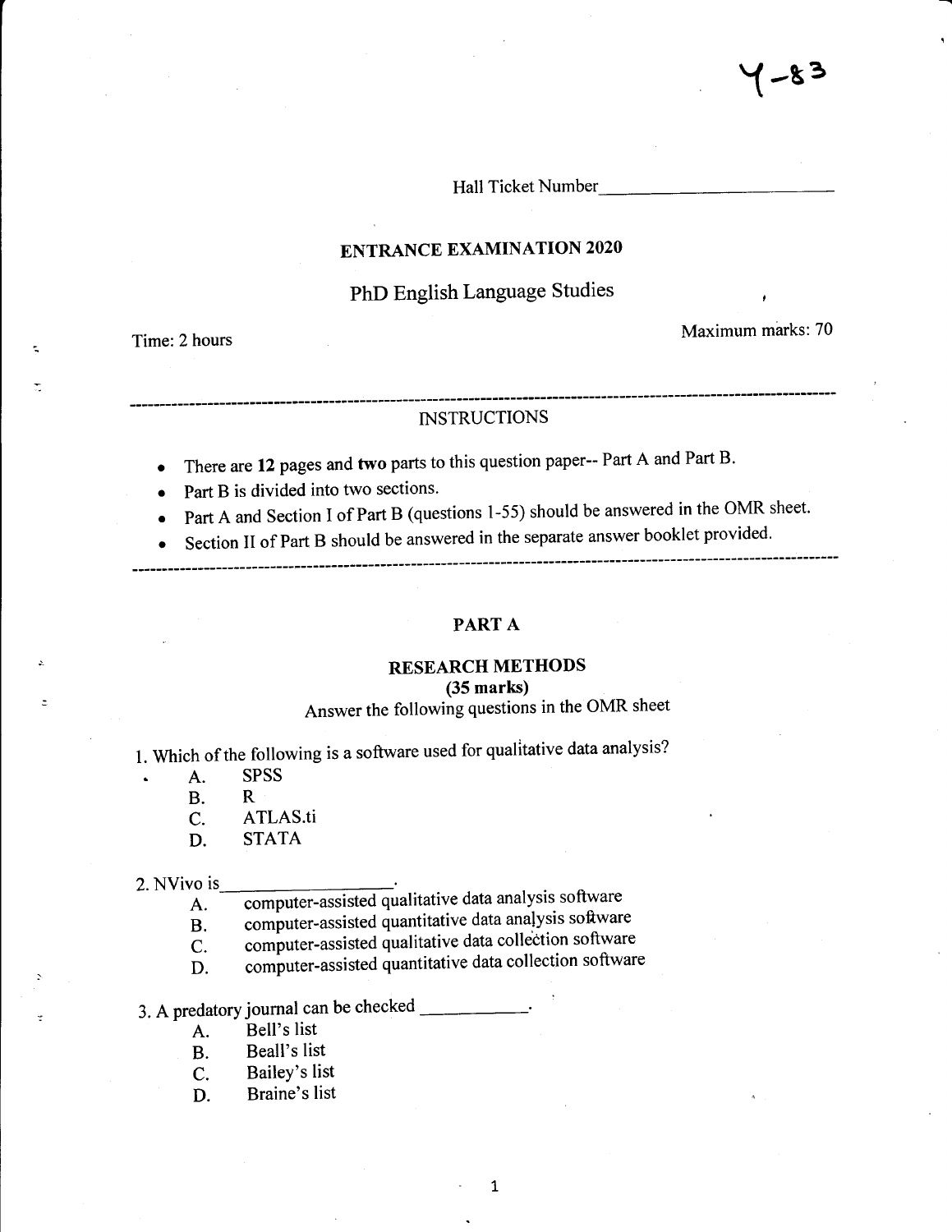### Hall Ticket Number

### **ENTRANCE EXAMINATION 2020**

### **PhD** English Language Studies

Time: 2 hours Maximum marks: 70

### **--------------------------------------------------------------------------------------------------------------------- INSTRUCTIONS**

- There are **12** pages and **two** parts to this question paper-- Part A and Part B.
- Part B is divided into two sections.
- Part A and Section I of Part B (questions 1-55) should be answered in the OMR sheet.
- Section II of Part B should be answered in the separate answer booklet provided.

**---------------------------------------------------------------------------------------------------------------------**

### PART A

### **RESEARCH METHODS**

#### **(35 marks)**

### Answer the following questions in the OMR sheet

1

1. Which of the following is a software used for qualitative data analysis?

- 
- A. SPSS<br>B. R B.
- C. ATLAS.ti
- D. STATA

2. NVivo is  $\qquad \qquad$ 

computer-assisted qualitative data analysis software A.

- computer-assisted quantitative data analysis software B.
- computer-assisted qualitative data collection software C.
- computer-assisted quantitative data collection software D.

## 3. A predatory journal can be checked \_\_\_\_ \_

- A. Bell's list
- B. Beall's list
- C. Bailey's list
- D. Braine's list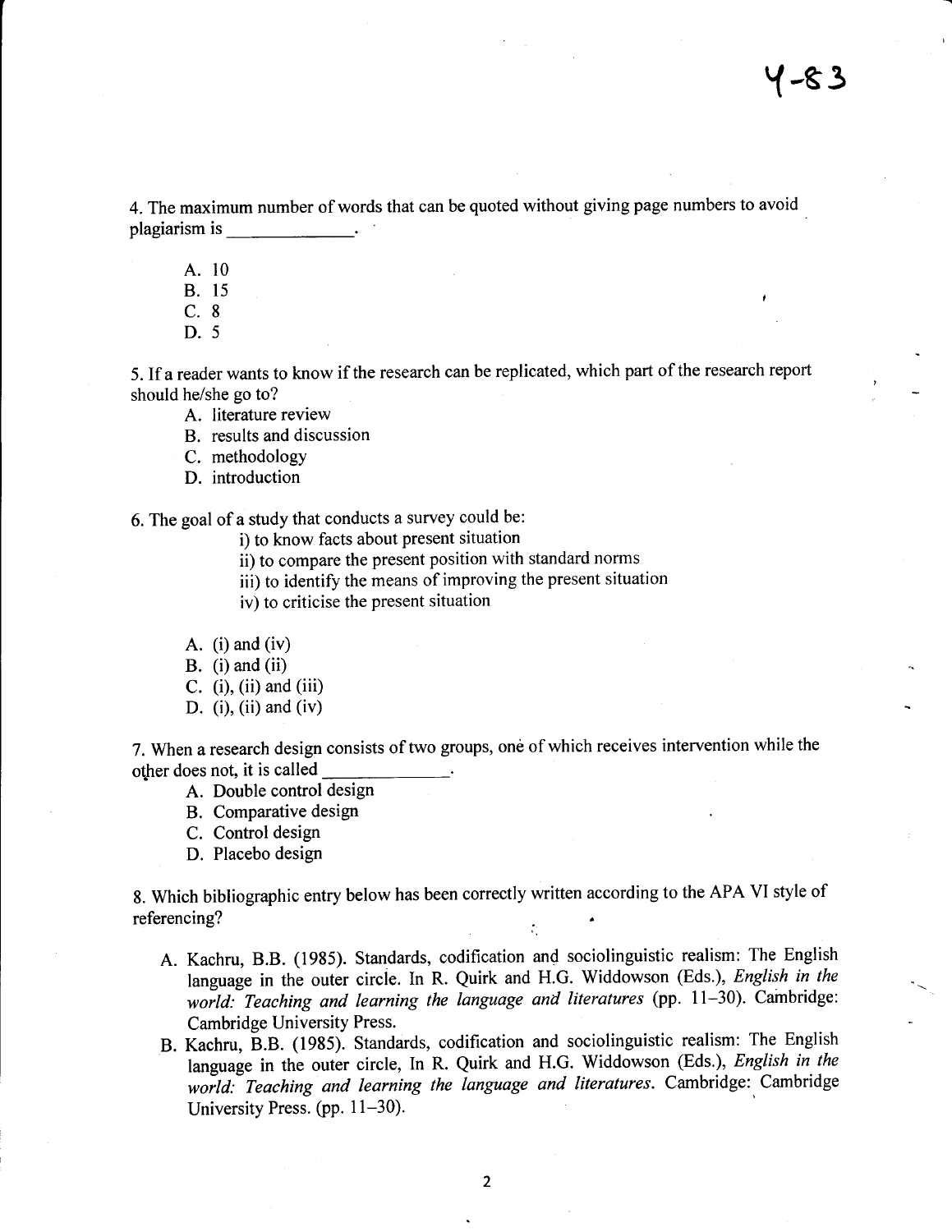4. The maximum number of words that can be quoted without giving page numbers to avoid plagiarism is \_\_\_\_\_\_\_\_\_\_\_\_\_\_.

A. 10

B. 15 C. 8

D. 5

5. If a reader wants to know if the research can be replicated, which part of the research report should he/she go to?

A. literature review

B. results and discussion

C. methodology

D. introduction

6. The goal of a study that conducts a survey could be:

i) to know facts about present situation

ii) to compare the present position with standard norms

iii) to identify the means of improving the present situation

iv) to criticise the present situation

A. (i) and  $(iv)$ 

B. (i) and (ii)

C. (i), (ii) and (iii)

D. (i), (ii) and (iv)

7. When a research design consists of two groups, one of which receives intervention while the other does not, it is called \_\_\_\_\_\_\_\_\_\_\_\_\_\_\_.

A. Double control design

B. Comparative design

C. Control design

D. Placebo design

8. Which bibliographic entry below has been correctly written according to the APA VI style of referencing?

- A. Kachru, B.B. (1985). Standards, codification and sociolinguistic realism: The English language in the outer circle. In R. Quirk and H.G. Widdowson (Eds.), *English in the world: Teaching and learning the language and literatures* (pp. 11-30). Cambridge: Cambridge University Press.
- B. Kachru, B.B. (1985). Standards, codification and sociolinguistic realism: The English language in the outer circle, In R. Quirk and H.G. Widdowson (Eds.), *English in the world: Teaching and learning the language and literatures.* Cambridge: Cambridge University Press. (pp. 11–30).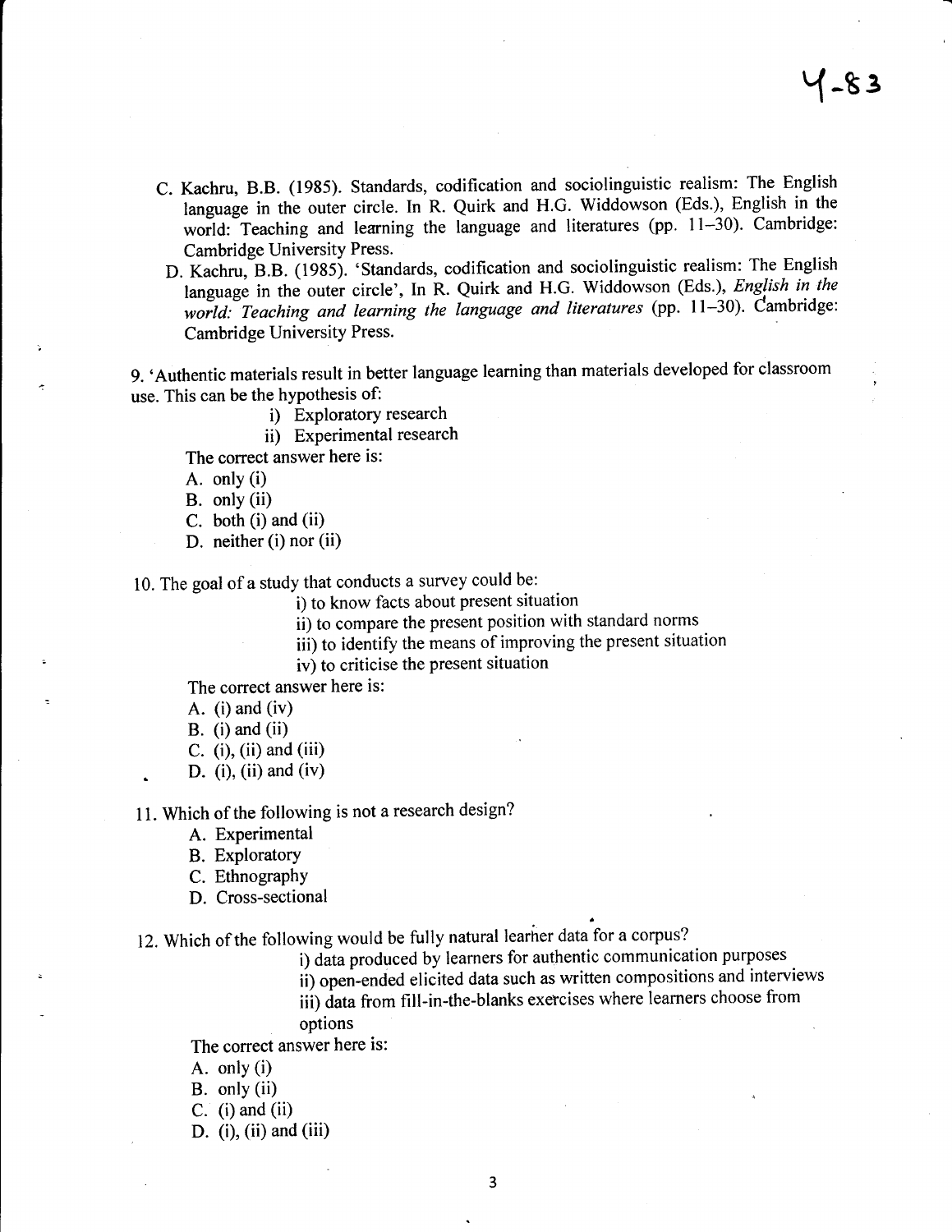- C. Kachru, B.B. (1985). Standards, codification and sociolinguistic realism: The English language in the outer circle. In R. Quirk and H.G. Widdowson (Eds.), English in the world: Teaching and learning the language and literatures (pp. 11-30). Cambridge: Cambridge University Press.
	- D. Kachru, B.B. (1985). 'Standards, codification and sociolinguistic realism: The English language in the outer circle', In R. Quirk and H.G. Widdowson (Eds.), *English in the*  world: Teaching and learning the language and literatures (pp. 11-30). Cambridge: Cambridge University Press.

9. 'Authentic materials result in better language learning than materials developed for classroom use. This can be the hypothesis of:

i) Exploratory research

ii) Experimental research

The correct answer here is:

A. only (i)

B. only (ii)

C. both (i) and (ii)

D. neither (i) nor (ii)

10. The goal of a study that conducts a survey could be:

i) to know facts about present situation

ii) to compare the present position with standard norms

iii) to identify the means of improving the present situation

iv) to criticise the present situation

The correct answer here is:

A. (i) and  $(iv)$ 

 $B.$  (i) and (ii)

C.  $(i)$ ,  $(ii)$  and  $(iii)$ 

D. (i), (ii) and (iv)

11. Which of the following is not a research design?

A. Experimental

B. Exploratory

C. Ethnography

D. Cross-sectional

12. Which of the following would be fully natural learner data for a corpus?

i) data produced by learners for authentic communication purposes

ii) open-ended elicited data such as written compositions and interviews iii) data from fill-in-the-blanks exercises where learners choose from options

The correct answer here is:

A. only (i)

B. only (ii)

C.  $(i)$  and  $(ii)$ 

D. (i), (ii) and (iii)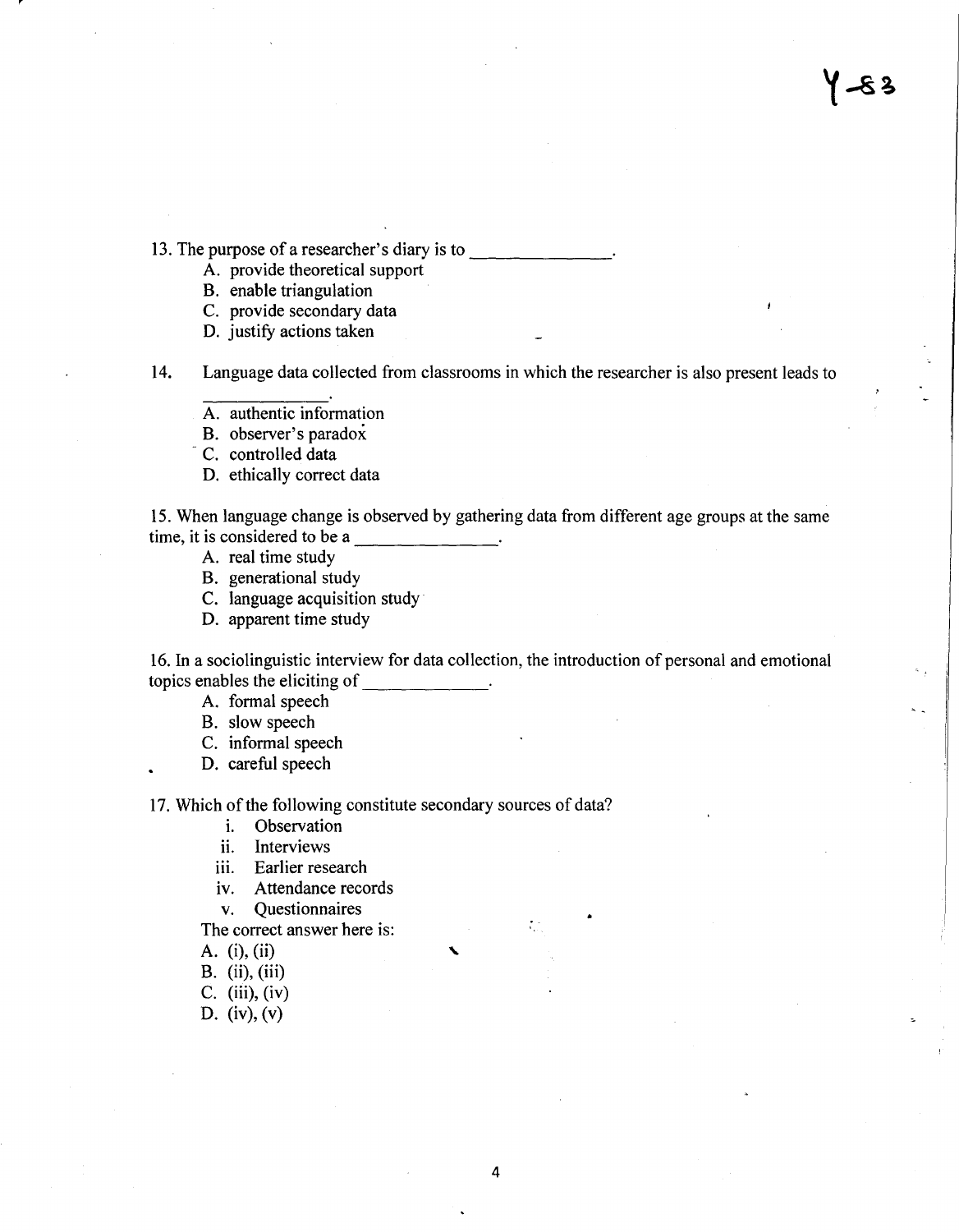13. The purpose of a researcher's diary is to  $\blacksquare$ 

- A. provide theoretical support
- B. enable triangulation
- c. provide secondary data
- D. justify actions taken

14. Language data collected from classrooms in which the researcher is also present leads to

- A. authentic information
- B. observer's paradox
- C. controlled data
- D. ethically correct data

15. When language change is observed by gathering data from different age groups at the same time, it is considered to be a  $A$ . real time study

- 
- B. generational study
- C. language acquisition study
- D. apparent time study

16. In a sociolinguistic interview for data collection, the introduction of personal and emotional topics enables the eliciting of \_\_\_\_\_ \_

- A. formal speech
- B. slow speech
- C. informal speech
- D. careful speech

17. Which of the following constitute secondary sources of data?

- i. Observation
- ii. Interviews
- iii. Earlier research
- iv. Attendance records
- v. Questionnaires

The correct answer here is:

- A. (i), (ii)
- B. (ii), (iii)
- C. (iii), (iv)
- D. (iv), (v)

W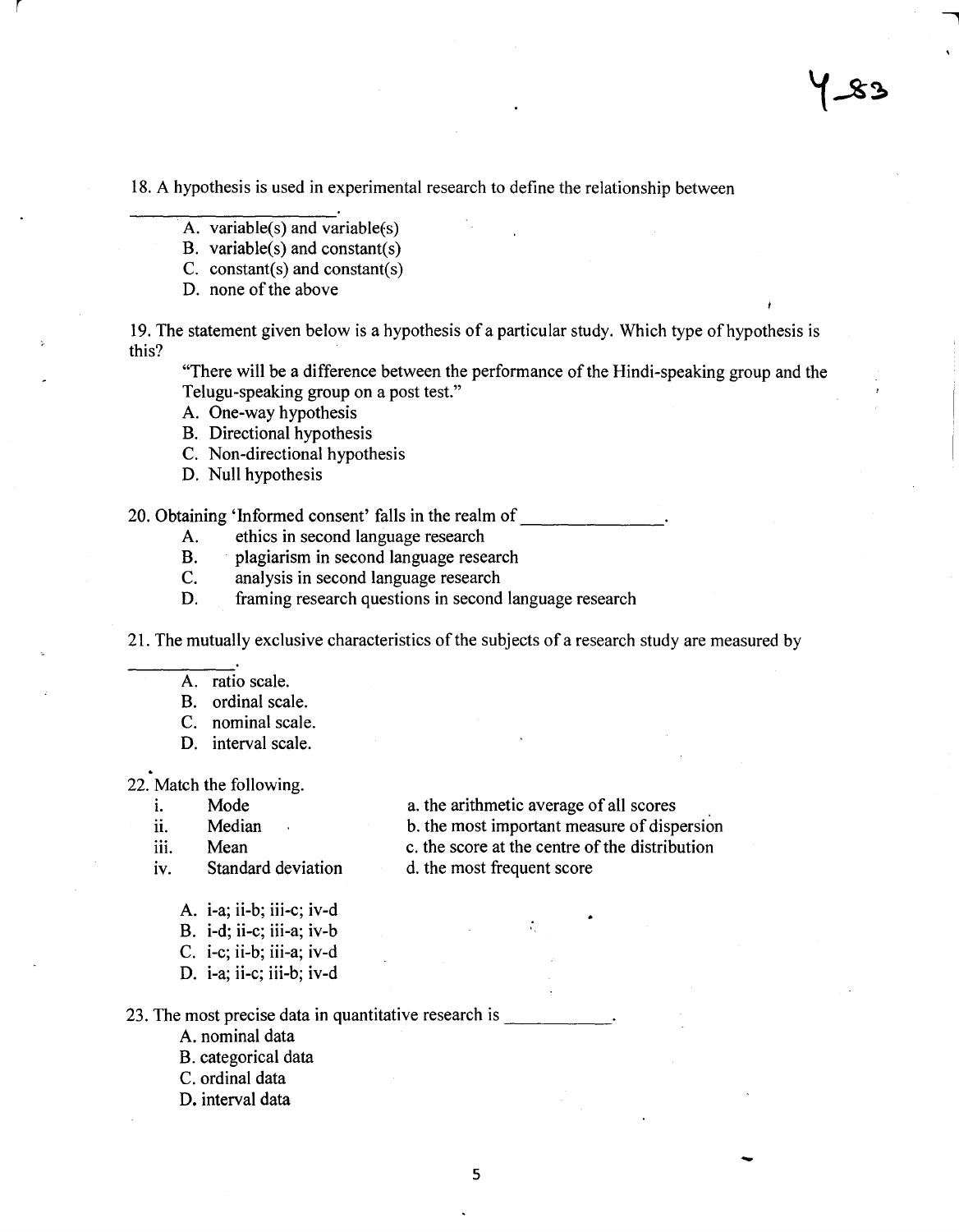18. A hypothesis is used in experimental research to define the relationship between

- $\overline{A}$ . variable(s) and variable(s)
- B. variable(s) and constant(s)
- C. constant(s) and constant(s)
- D. none of the above

19. The statement given below is a hypothesis of a particular study. Which type of hypothesis is this?

"There will be a difference between the performance of the Hindi-speaking group and the Telugu-speaking group on a post test."

- A. One-way hypothesis
- B. Directional hypothesis
- C. Non-directional hypothesis
- D. Null hypothesis

20. Obtaining 'Informed consent' falls in the realm of \_\_\_\_\_\_\_\_\_\_\_\_\_\_.<br>A. ethics in second language research

- ethics in second language research
- B. plagiarism in second language research
- C. analysis in second language research
- D. framing research questions in second language research

21. The mutually exclusive characteristics of the subjects of a research study are measured by

- A. ratio scale.
- B. ordinal scale.
- C. nominal scale.
- D. interval scale.

. 22. Match the following.

- i. Mode
- ii. Median
- 
- 

A. i-a; ii-b; iii-c; iv-d B. i-d; ii-c; iii-a; iv-b C. i-c; ii-b; iii-a; iv-d D. i-a; ii-c; iii-b; iv-d

a. the arithmetic average of all scores

 $\mathcal{C}^{\mathcal{C}}$ 

- b. the most important measure of dispersion
- iii. Mean c. the score at the centre of the distribution
- iv. Standard deviation d. the most frequent score

- 23. The most precise data in quantitative research is
	- A. nominal data
	- B. categorical data
	- C. ordinal data
	- D. interval data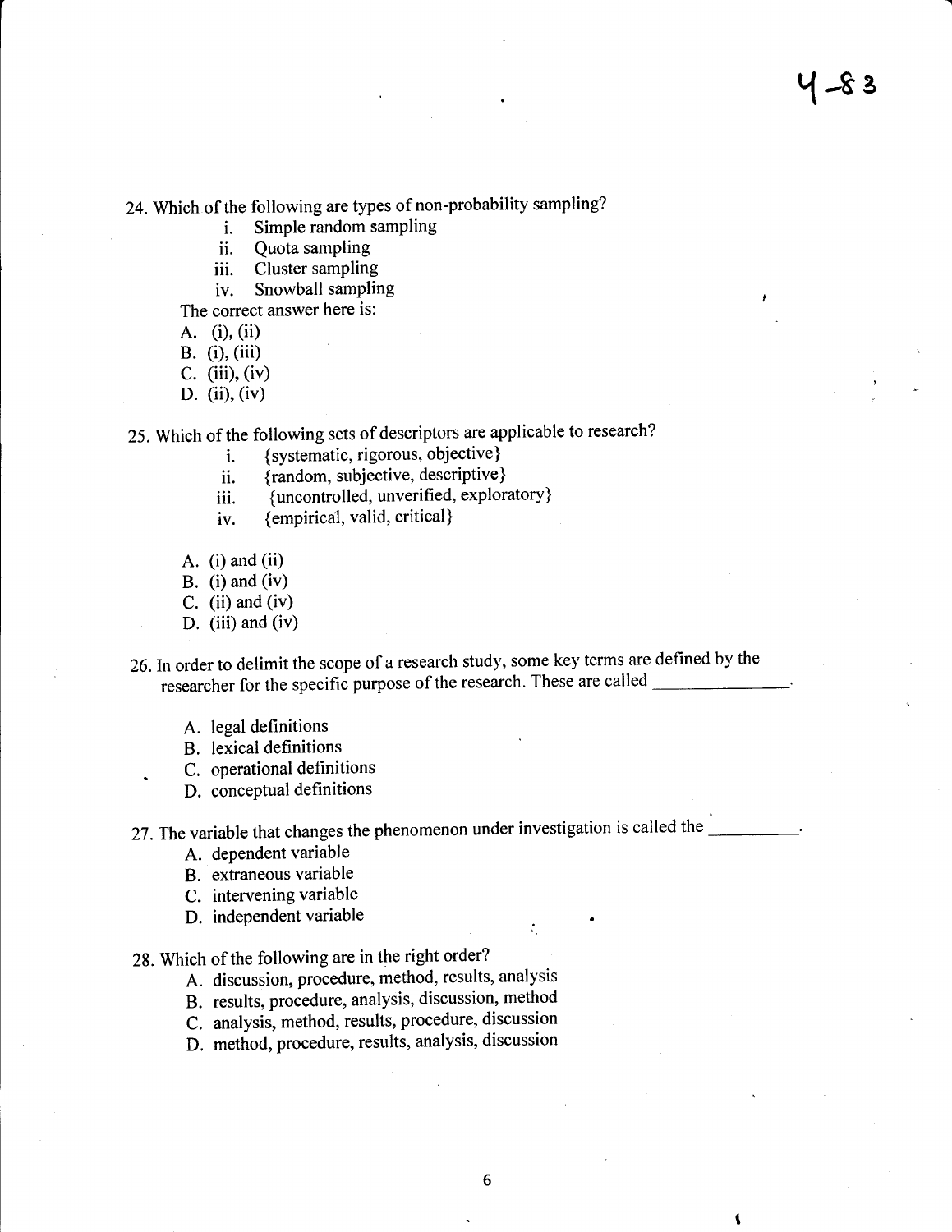24. Which of the following are types of non-probability sampling?

- i. Simple random sampling
- ii. Quota sampling
- iii. Cluster sampling
- iv. Snowball sampling

The correct answer here is:

- A. (i), (ii)
- B. (i), (iii)
- C. (iii), (iv)
- D. (ii), (iv)

25. Which of the following sets of descriptors are applicable to research?

- i. {systematic, rigorous, objective}
- ii. {random, subjective, descriptive}
- iii. {uncontrolled, unverified, exploratory}
- iv. {empirical, valid, critical}
- A. (i) and (ii)
- B. (i) and  $(iv)$
- C. (ii) and (iv)
- D. (iii) and  $(iv)$
- 26. In order to delimit the scope of a research study, some key terms are defined by the researcher for the specific purpose of the research. These are called \_\_\_\_\_\_\_\_\_\_
	- A. legal definitions
	- B. lexical definitions
	- C. operational definitions
	- D. conceptual definitions

27. The variable that changes the phenomenon under investigation is called the  $\frac{1}{\sqrt{1-\frac{1}{\sqrt{1-\frac{1}{\sqrt{1-\frac{1}{\sqrt{1-\frac{1}{\sqrt{1-\frac{1}{\sqrt{1-\frac{1}{\sqrt{1-\frac{1}{\sqrt{1-\frac{1}{\sqrt{1-\frac{1}{\sqrt{1-\frac{1}{\sqrt{1-\frac{1}{\sqrt{1-\frac{1}{\sqrt{1-\frac{1}{\sqrt{1-\frac{1}{\sqrt{1-\frac{1}{\$ 

- A. dependent variable
- B. extraneous variable
- C. intervening variable
- D. independent variable
- 28. Which of the following are in the right order?
	- A. discussion, procedure, method, results, analysis
	- B. results, procedure, analysis, discussion, method
	- C. analysis, method, results, procedure, discussion
	- D. method, procedure, results, analysis, discussion

t.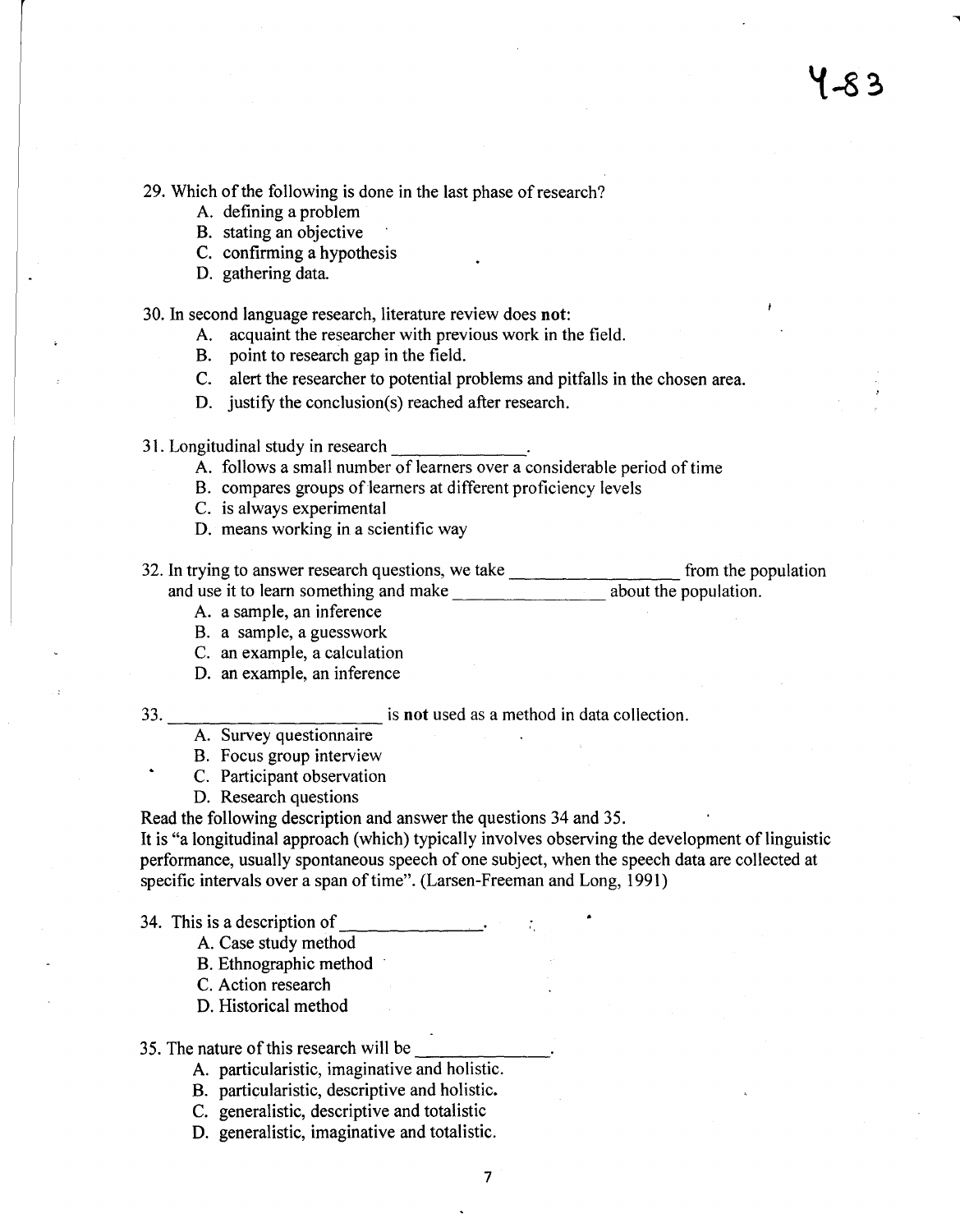29. Which of the following is done in the last phase of research?

- A. defining a problem
- B. stating an objective
- C. confirming a hypothesis
- D. gathering data.

30. In second language research, literature review does not:

- A. acquaint the researcher with previous work in the field.
- B. point to research gap in the field.
- C. alert the researcher to potential problems and pitfalls in the chosen area.
- D. justify the conclusion(s) reached after research.
- 31. Longitudinal study in research
	- A. follows a small number of learners over a considerable period of time
	- B. compares groups of learners at different proficiency levels
	- C. is always experimental
	- D. means working in a scientific way

32. In trying to answer research questions, we take \_\_\_\_\_\_\_\_\_\_\_\_\_\_\_\_\_\_\_\_\_\_\_\_\_\_\_\_ from the population and use it to learn something and make \_\_\_\_\_\_\_\_\_\_\_\_\_\_\_\_\_\_\_\_\_\_\_\_\_\_ about the population.

- A. a sample, an inference
- B. a sample, a guesswork
- C. an example, a calculation
- D. an example, an inference
- 

 $33.$   $\overline{\phantom{a}}$  is not used as a method in data collection.  $\overline{\phantom{a}}$  A. Survey questionnaire

- 
- B. Focus group interview
- C. Participant observation
- D. Research questions

Read the following description and answer the questions 34 and 35.

It is "a longitudinal approach (which) typically involves observing the development of linguistic performance, usually spontaneous speech of one subject, when the speech data are collected at specific intervals over a span of time". (Larsen-Freeman and Long, 1991)

- 34. This is a description of  $\qquad \qquad$ 
	- A. Case study method
		- B. Ethnographic method
		- C. Action research
		- D. Historical method

- 35. The nature of this research will be  $\frac{1}{2}$ . A. particularistic, imaginative and holistic.
	- B. particularistic, descriptive and holistic.
	- C. generalistic, descriptive and totalistic
	- D. generalistic, imaginative and totalistic.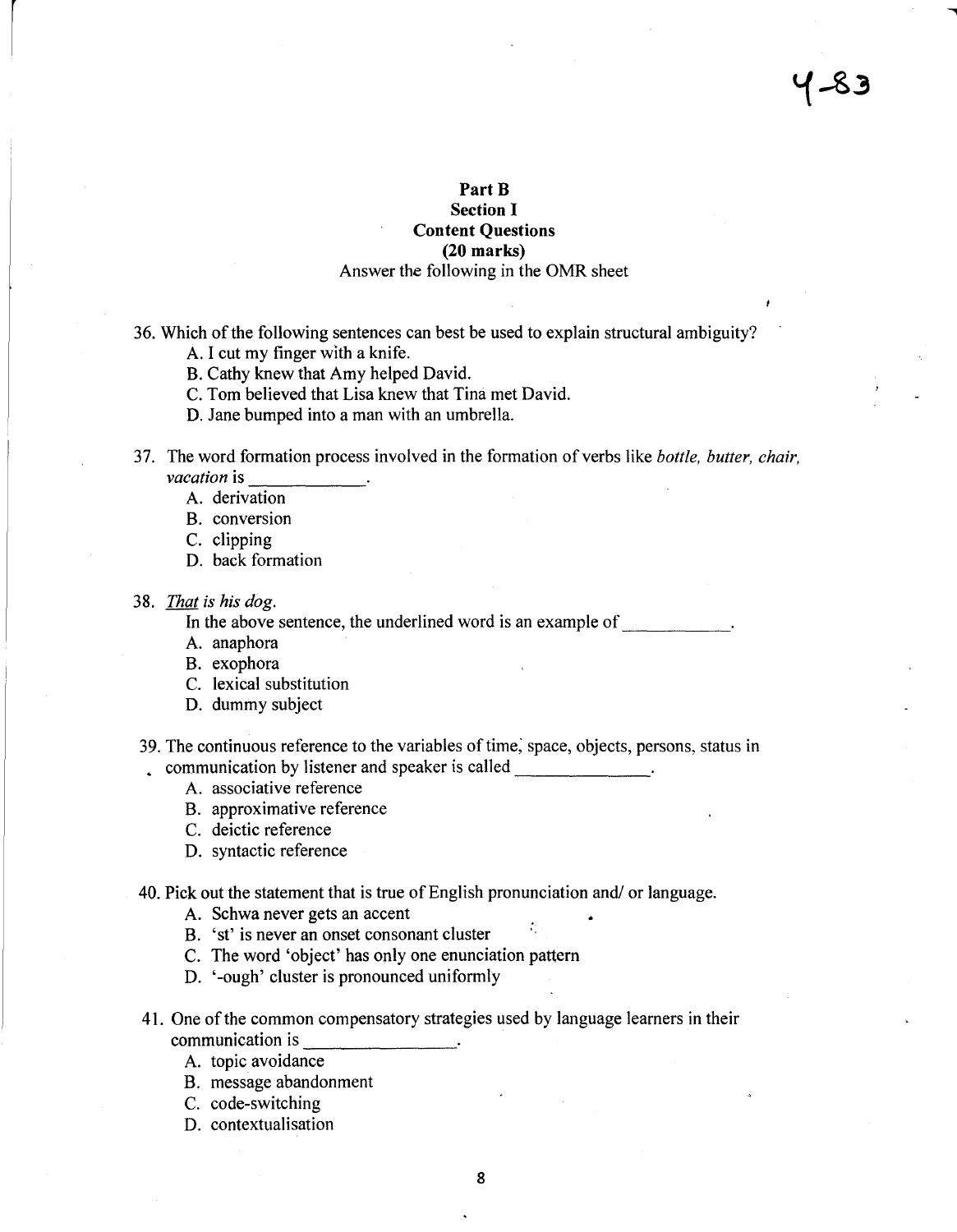### Part B

### Section I Content Questions (20 marks) Answer the following in the OMR sheet

- 36. Which of the following sentences can best be used to explain structural ambiguity?
	- A. I cut my finger with a knife.
	- B. Cathy knew that Amy helped David.
	- C. Tom believed that Lisa knew that Tina met David.
	- D. Jane bumped into a man with an umbrella.
- 37. The word formation process involved in the formation of verbs like *bottle, butter, chair, vacation* is \_\_\_\_\_\_\_\_\_\_.<br>A. derivation
	-
	- B. conversion
	- C. clipping
	- D. back formation

### *38. That is his dog.*

 $\mathbf{r}$ 

In the above sentence, the underlined word is an example of

- A. anaphora
- B. exophora
- C. lexical substitution
- D. dummy subject

39. The continuous reference to the variables of time, space, objects, persons, status in . communication by listener and speaker is called

- A. associative reference
- B. approximative reference
- C. deictic reference
- D. syntactic reference

40. Pick out the statement that is true of English pronunciation and/ or language.

- A. Schwa never gets an accent
- B. 'st' is never an onset consonant cluster
- C. The word 'object' has only one enunciation pattern
- D. '-ough' cluster is pronounced uniformly
- 41. One of the common compensatory strategies used by language learners in their communication is -------------- A. topic avoidance
	-
	- B. message abandonment
	- C. code-switching
	- D. contextualisation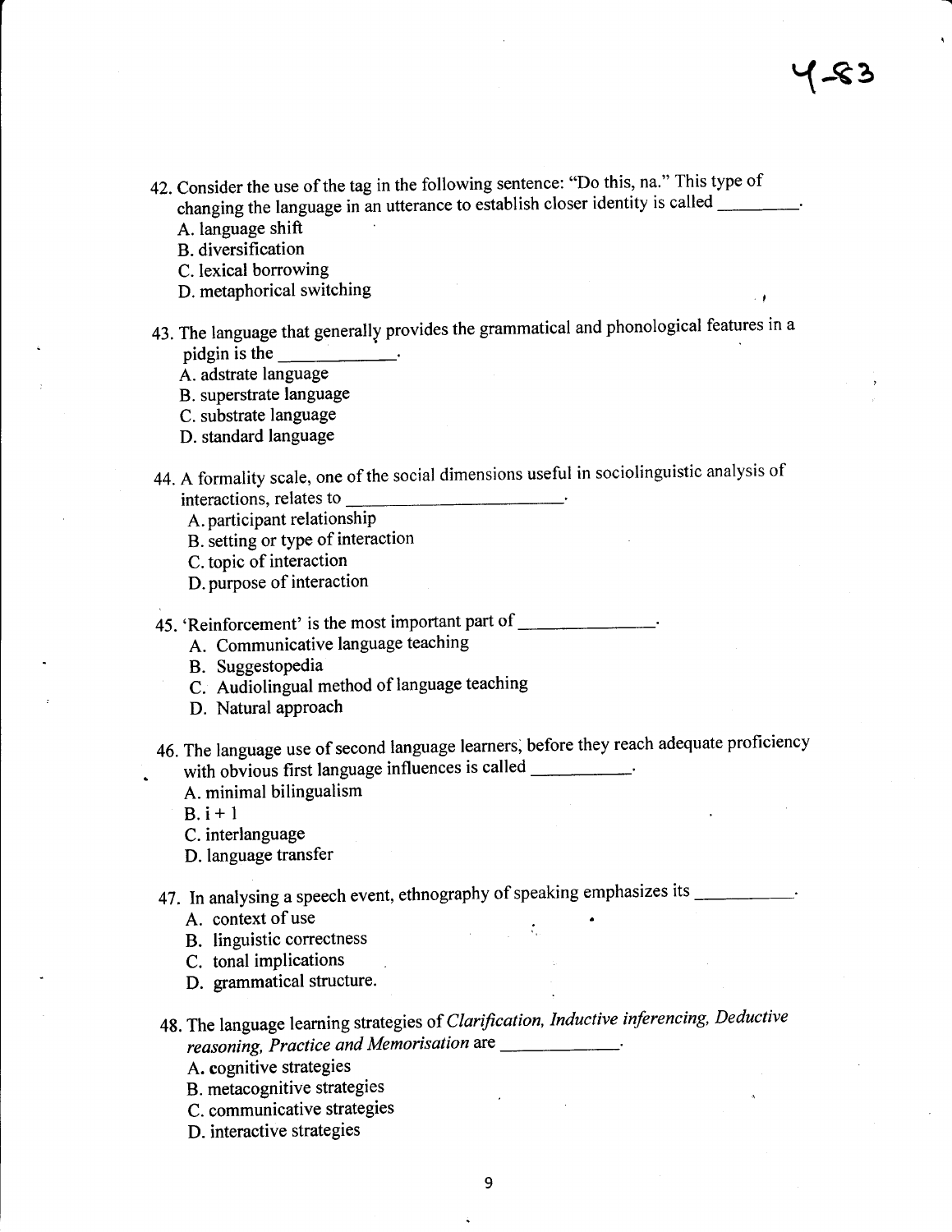.......

42. Consider the use of the tag in the following sentence: "Do this, na." This type of changing the language in an utterance to establish closer identity is called  $\frac{1}{\sqrt{1-\frac{1}{\sqrt{1-\frac{1}{\sqrt{1-\frac{1}{\sqrt{1-\frac{1}{\sqrt{1-\frac{1}{\sqrt{1-\frac{1}{\sqrt{1-\frac{1}{\sqrt{1-\frac{1}{\sqrt{1-\frac{1}{\sqrt{1-\frac{1}{\sqrt{1-\frac{1}{\sqrt{1-\frac{1}{\sqrt{1-\frac{1}{\sqrt{1-\frac{1}{\sqrt{1-\frac{1}{\sqrt{$ 

A. language shift

B. diversification

C. lexical borrowing

D. metaphorical switching

43. The language that generally provides the grammatical and phonological features in a pidgin is the

A. adstrate language

B. superstrate language

C. substrate language

D. standard language

# 44. A formality scale, one of the social dimensions useful in sociolinguistic analysis of interactions, relates to \_\_\_\_\_\_\_\_\_\_ \_

A. participant relationship

B. setting or type of interaction

C. topic of interaction

D. purpose of interaction

45. 'Reinforcement' is the most important part of \_\_\_\_\_\_\_\_\_\_\_\_\_\_.

A. Communicative language teaching

B. Suggestopedia

C. Audiolingual method of language teaching

D. Natural approach

46. The language use of second language learners; before they reach adequate proficiency with obvious first language influences is called \_\_\_\_\_\_\_\_\_\_.

A. minimal bilingualism

 $B. i + 1$ 

C. interlanguage

D. language transfer

47. In analysing a speech event, ethnography of speaking emphasizes its \_\_\_\_\_\_\_\_\_.

**Contract Contract** 

A. context of use

B. linguistic correctness

C. tonal implications

D. grammatical structure.

48. The language learning strategies of *Clarification, Inductive injerencing, Deductive reasoning, Practice and Memorisation* are \_\_\_\_\_ \_

A. cognitive strategies

B. metacognitive strategies

C. communicative strategies

D. interactive strategies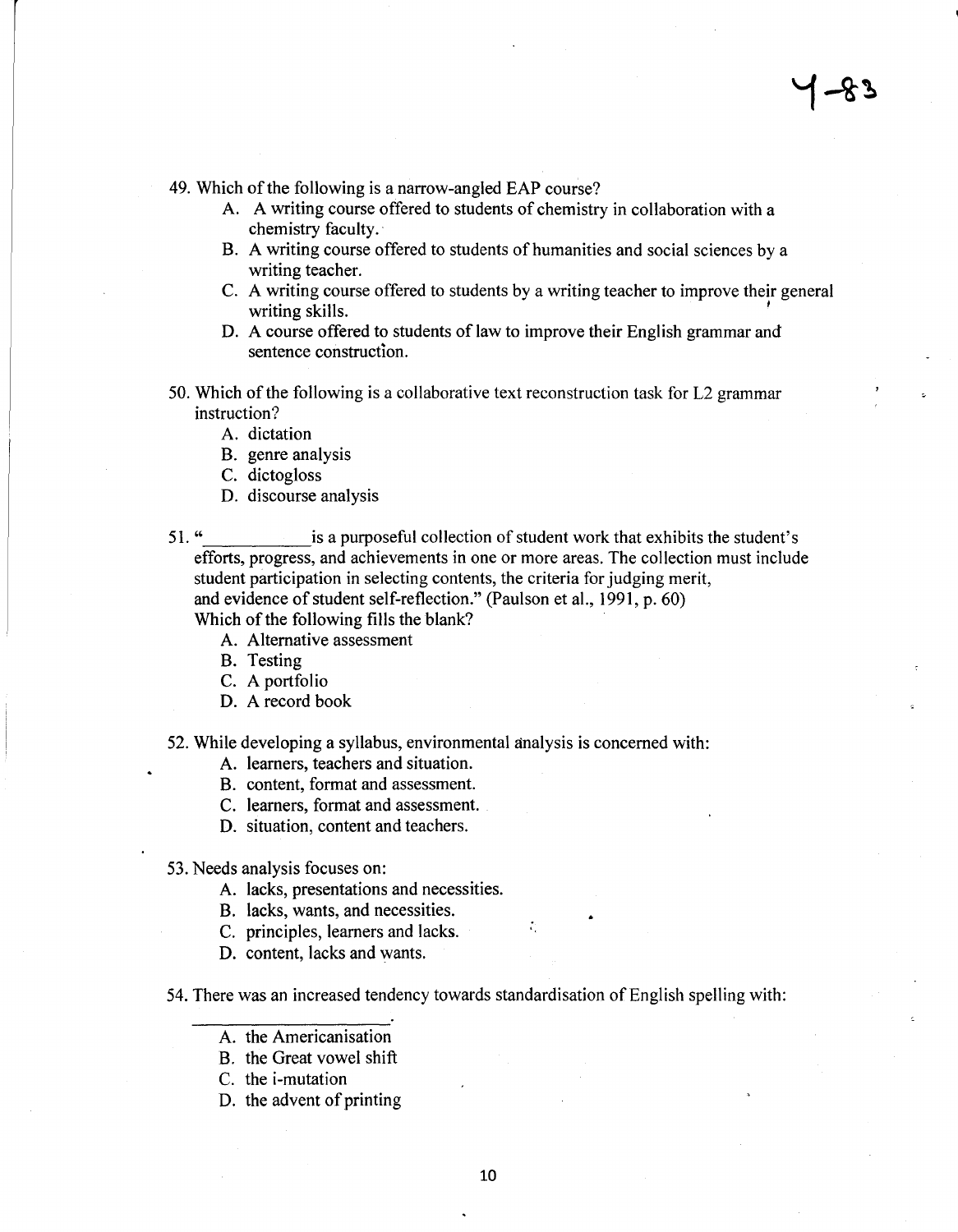49. Which of the following is a narrow-angled EAP course?

- A. A writing course offered to students of chemistry in collaboration with a chemistry faculty. '
- B. A writing course offered to students of humanities and social sciences by a writing teacher.
- C. A writing course offered to students by a writing teacher to improve their general writing skills.
- D. A course offered to students of law to improve their English grammar and sentence construction.
- 50. Which of the following is a collaborative text reconstruction task for L2 grammar instruction?
	- A. dictation
	- B. genre analysis
	- C. dictogloss
	- D. discourse analysis
- 51. " is a purposeful collection of student work that exhibits the student's efforts, progress, and achievements in one or more areas. The collection must include student participation in selecting contents, the criteria for judging merit, and evidence of student self-reflection." (Paulson et a1., 1991, p. 60) Which of the following fills the blank?
	- A. Alternative assessment
	- B. Testing
	- C. A portfolio
	- D. A record book

52. While developing a syllabus, environmental analysis is concerned with:

- A. learners, teachers and situation.
- B. content, format and assessment.
- C. learners, format and assessment.
- D. situation, content and teachers.
- 53. Needs analysis focuses on:
	- A. lacks, presentations and necessities.
	- B. lacks, wants, and necessities.
	- C. principles, learners and lacks.
	- D. content, lacks and wants.
- 54. There was an increased tendency towards standardisation of English spelling with:

Ŵ

- A. the Americanisation
- B. the Great vowel shift
- C. the i-mutation
- D. the advent of printing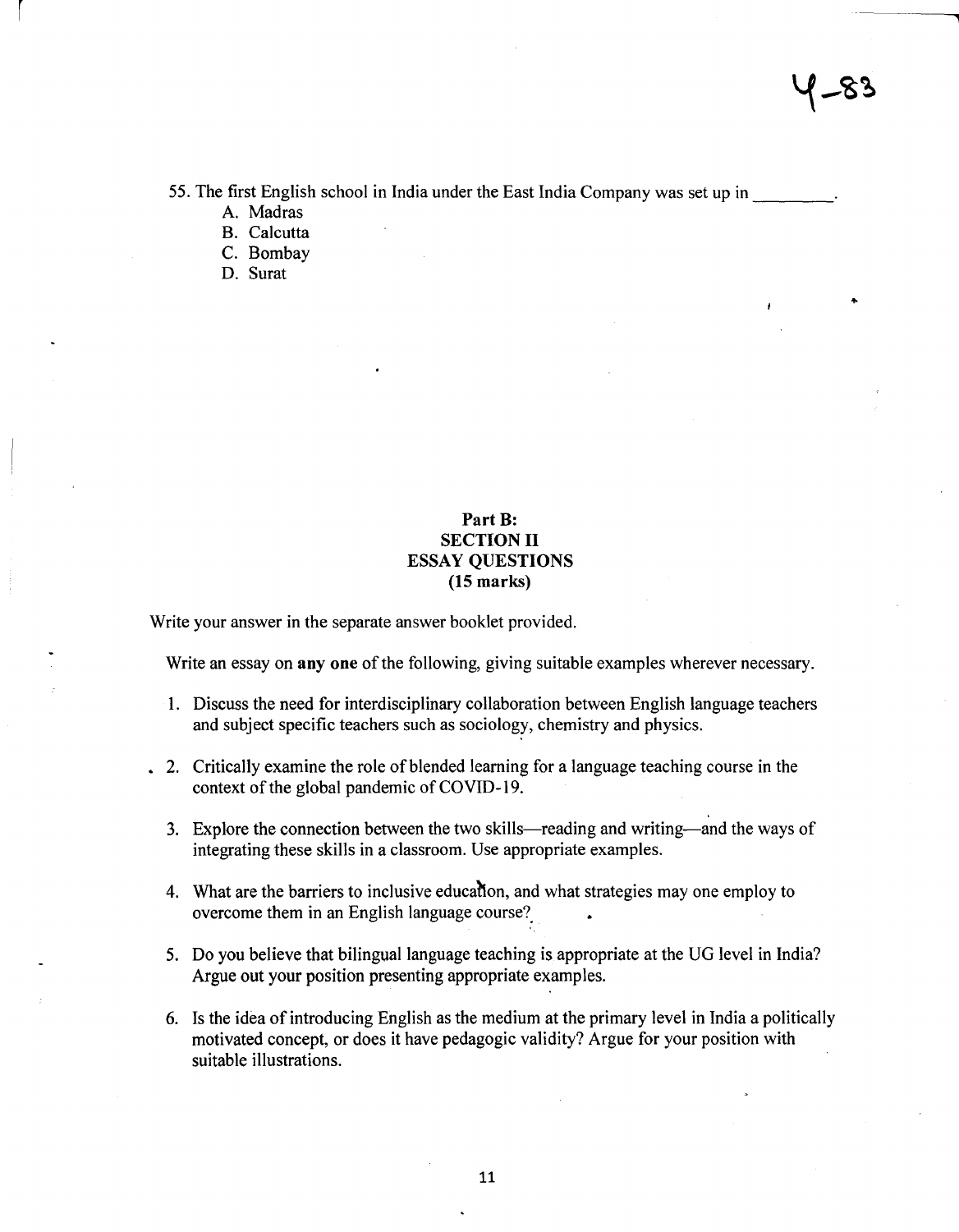...

55. The first English school in India under the East India Company was set up in \_\_\_ \_

- A. Madras
- B. Calcutta
- C. Bombay
- D. Surat

### Part B: SECTION II ESSAY QUESTIONS (15 marks)

Write your answer in the separate answer booklet provided.

Write an essay on any one of the following, giving suitable examples wherever necessary.

- 1. Discuss the need for interdisciplinary collaboration between English language teachers and subject specific teachers such as sociology, chemistry and physics.
- 2. Critically examine the role of blended learning for a language teaching course in the context of the global pandemic of COVID-19.
	- 3. Explore the connection between the two skills—reading and writing—and the ways of integrating these skills in a classroom. Use appropriate examples.
	- 4. What are the barriers to inclusive educahon, and what strategies may one employ to overcome them in an English language course?
	- 5. Do you believe that bilingual language teaching is appropriate at the UG level in India? Argue out your position presenting appropriate examples.
	- 6. Is the idea of introducing English as the medium at the primary level in India a politically motivated concept, or does it have pedagogic validity? Argue for your position with suitable illustrations.